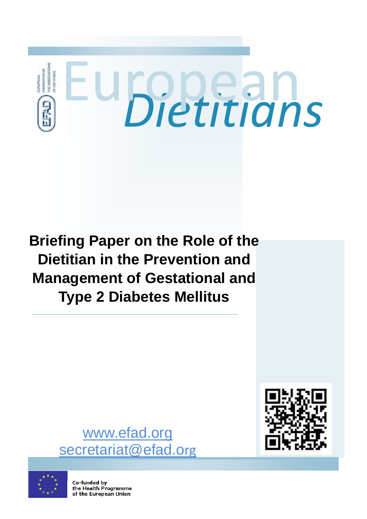

# **Briefing Paper on the Role of the Dietitian in the Prevention and Management of Gestational and Type 2 Diabetes Mellitus**



www.efad.org secretariat@efad.org



Co-funded by the Health Programme of the European Union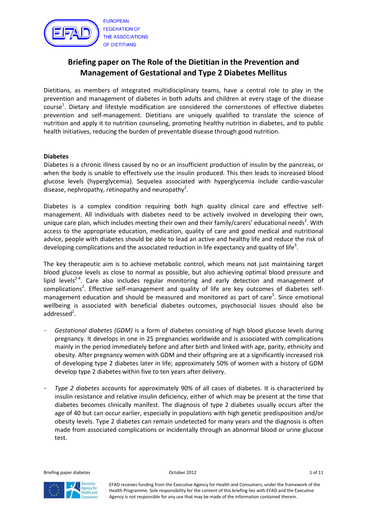

# Briefing paper on The Role of the Dietitian in the Prevention and Management of Gestational and Type 2 Diabetes Mellitus

Dietitians, as members of integrated multidisciplinary teams, have a central role to play in the prevention and management of diabetes in both adults and children at every stage of the disease course<sup>1</sup>. Dietary and lifestyle modification are considered the cornerstones of effective diabetes prevention and self-management. Dietitians are uniquely qualified to translate the science of nutrition and apply it to nutrition counseling, promoting healthy nutrition in diabetes, and to public health initiatives, reducing the burden of preventable disease through good nutrition.

#### Diabetes

Diabetes is a chronic illness caused by no or an insufficient production of insulin by the pancreas, or when the body is unable to effectively use the insulin produced. This then leads to increased blood glucose levels (hyperglycemia). Sequelea associated with hyperglycemia include cardio-vascular disease, nephropathy, retinopathy and neuropathy<sup>2</sup>.

Diabetes is a complex condition requiring both high quality clinical care and effective selfmanagement. All individuals with diabetes need to be actively involved in developing their own, unique care plan, which includes meeting their own and their family/carers' educational needs<sup>2</sup>. With access to the appropriate education, medication, quality of care and good medical and nutritional advice, people with diabetes should be able to lead an active and healthy life and reduce the risk of developing complications and the associated reduction in life expectancy and quality of life<sup>3</sup>.

The key therapeutic aim is to achieve metabolic control, which means not just maintaining target blood glucose levels as close to normal as possible, but also achieving optimal blood pressure and lipid levels<sup>2-4</sup>. Care also includes regular monitoring and early detection and management of complications<sup>2</sup>. Effective self-management and quality of life are key outcomes of diabetes selfmanagement education and should be measured and monitored as part of care<sup>5</sup>. Since emotional wellbeing is associated with beneficial diabetes outcomes, psychosocial issues should also be addressed<sup>2</sup>.

- Gestational diabetes (GDM) is a form of diabetes consisting of high blood glucose levels during pregnancy. It develops in one in 25 pregnancies worldwide and is associated with complications mainly in the period immediately before and after birth and linked with age, parity, ethnicity and obesity. After pregnancy women with GDM and their offspring are at a significantly increased risk of developing type 2 diabetes later in life; approximately 50% of women with a history of GDM develop type 2 diabetes within five to ten years after delivery.
- Type 2 diabetes accounts for approximately 90% of all cases of diabetes. It is characterized by insulin resistance and relative insulin deficiency, either of which may be present at the time that diabetes becomes clinically manifest. The diagnosis of type 2 diabetes usually occurs after the age of 40 but can occur earlier, especially in populations with high genetic predisposition and/or obesity levels. Type 2 diabetes can remain undetected for many years and the diagnosis is often made from associated complications or incidentally through an abnormal blood or urine glucose test.

Briefing paper diabetes and the control of the October 2012 and the control of the control of the control of the control of the control of the control of the control of the control of the control of the control of the cont

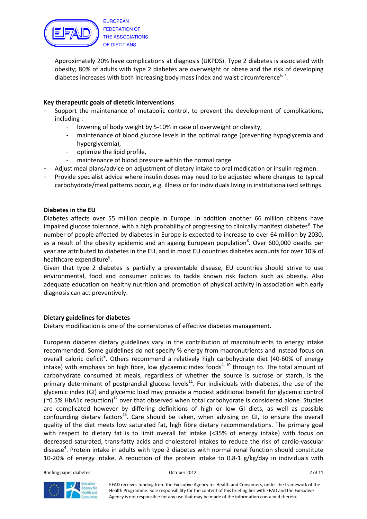

Approximately 20% have complications at diagnosis (UKPDS). Type 2 diabetes is associated with obesity; 80% of adults with type 2 diabetes are overweight or obese and the risk of developing diabetes increases with both increasing body mass index and waist circumference<sup>6, 7</sup>.

### Key therapeutic goals of dietetic interventions

- Support the maintenance of metabolic control, to prevent the development of complications, including :
	- lowering of body weight by 5-10% in case of overweight or obesity,
	- maintenance of blood glucose levels in the optimal range (preventing hypoglycemia and hyperglycemia),
	- optimize the lipid profile,
	- maintenance of blood pressure within the normal range
- Adjust meal plans/advice on adjustment of dietary intake to oral medication or insulin regimen.
- Provide specialist advice where insulin doses may need to be adjusted where changes to typical carbohydrate/meal patterns occur, e.g. illness or for individuals living in institutionalised settings.

#### Diabetes in the EU

Diabetes affects over 55 million people in Europe. In addition another 66 million citizens have impaired glucose tolerance, with a high probability of progressing to clinically manifest diabetes<sup>8</sup>. The number of people affected by diabetes in Europe is expected to increase to over 64 million by 2030, as a result of the obesity epidemic and an ageing European population<sup>8</sup>. Over 600,000 deaths per year are attributed to diabetes in the EU, and in most EU countries diabetes accounts for over 10% of healthcare expenditure<sup>8</sup>.

Given that type 2 diabetes is partially a preventable disease, EU countries should strive to use environmental, food and consumer policies to tackle known risk factors such as obesity. Also adequate education on healthy nutrition and promotion of physical activity in association with early diagnosis can act preventively.

#### Dietary guidelines for diabetes

Dietary modification is one of the cornerstones of effective diabetes management.

European diabetes dietary guidelines vary in the contribution of macronutrients to energy intake recommended. Some guidelines do not specify % energy from macronutrients and instead focus on overall caloric deficit<sup>9</sup>. Others recommend a relatively high carbohydrate diet (40-60% of energy intake) with emphasis on high fibre, low glycaemic index foods<sup>4, 10</sup> through to. The total amount of carbohydrate consumed at meals, regardless of whether the source is sucrose or starch, is the primary determinant of postprandial glucose levels $^{11}$ . For individuals with diabetes, the use of the glycemic index (GI) and glycemic load may provide a modest additional benefit for glycemic control ( $\degree$ 0.5% HbA1c reduction)<sup>12</sup> over that observed when total carbohydrate is considered alone. Studies are complicated however by differing definitions of high or low GI diets, as well as possible confounding dietary factors<sup>13</sup>. Care should be taken, when advising on GI, to ensure the overall quality of the diet meets low saturated fat, high fibre dietary recommendations. The primary goal with respect to dietary fat is to limit overall fat intake (<35% of energy intake) with focus on decreased saturated, trans-fatty acids and cholesterol intakes to reduce the risk of cardio-vascular disease<sup>4</sup>. Protein intake in adults with type 2 diabetes with normal renal function should constitute 10-20% of energy intake. A reduction of the protein intake to 0.8-1 g/kg/day in individuals with

Briefing paper diabetes and the control of the Corollary of the October 2012 and the control of the control of the control of the control of the control of the control of the control of the control of the control of the co

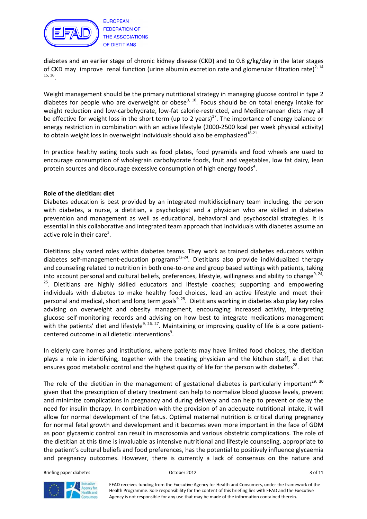

diabetes and an earlier stage of chronic kidney disease (CKD) and to 0.8 g/kg/day in the later stages of CKD may improve renal function (urine albumin excretion rate and glomerular filtration rate)<sup>2, 14</sup> 15, 16 .

Weight management should be the primary nutritional strategy in managing glucose control in type 2 diabetes for people who are overweight or obese<sup>9, 10</sup>. Focus should be on total energy intake for weight reduction and low-carbohydrate, low-fat calorie-restricted, and Mediterranean diets may all be effective for weight loss in the short term (up to 2 years)<sup>17</sup>. The importance of energy balance or energy restriction in combination with an active lifestyle (2000-2500 kcal per week physical activity) to obtain weight loss in overweight individuals should also be emphasized $^{18-21}$ .

In practice healthy eating tools such as food plates, food pyramids and food wheels are used to encourage consumption of wholegrain carbohydrate foods, fruit and vegetables, low fat dairy, lean protein sources and discourage excessive consumption of high energy foods<sup>4</sup>.

#### Role of the dietitian: diet

Diabetes education is best provided by an integrated multidisciplinary team including, the person with diabetes, a nurse, a dietitian, a psychologist and a physician who are skilled in diabetes prevention and management as well as educational, behavioral and psychosocial strategies. It is essential in this collaborative and integrated team approach that individuals with diabetes assume an active role in their care<sup>3</sup>.

Dietitians play varied roles within diabetes teams. They work as trained diabetes educators within diabetes self-management-education programs<sup>22-24</sup>. Dietitians also provide individualized therapy and counseling related to nutrition in both one-to-one and group based settings with patients, taking into account personal and cultural beliefs, preferences, lifestyle, willingness and ability to change<sup>9, 24,</sup> <sup>25</sup>. Dietitians are highly skilled educators and lifestyle coaches; supporting and empowering individuals with diabetes to make healthy food choices, lead an active lifestyle and meet their personal and medical, short and long term goals<sup>9, 25</sup>. Dietitians working in diabetes also play key roles advising on overweight and obesity management, encouraging increased activity, interpreting glucose self-monitoring records and advising on how best to integrate medications management with the patients' diet and lifestyle<sup>9, 26, 27</sup>. Maintaining or improving quality of life is a core patientcentered outcome in all dietetic interventions<sup>9</sup>.

In elderly care homes and institutions, where patients may have limited food choices, the dietitian plays a role in identifying, together with the treating physician and the kitchen staff, a diet that ensures good metabolic control and the highest quality of life for the person with diabetes<sup>28</sup>.

The role of the dietitian in the management of gestational diabetes is particularly important<sup>29, 30</sup> given that the prescription of dietary treatment can help to normalize blood glucose levels, prevent and minimize complications in pregnancy and during delivery and can help to prevent or delay the need for insulin therapy. In combination with the provision of an adequate nutritional intake, it will allow for normal development of the fetus. Optimal maternal nutrition is critical during pregnancy for normal fetal growth and development and it becomes even more important in the face of GDM as poor glycaemic control can result in macrosomia and various obstetric complications. The role of the dietitian at this time is invaluable as intensive nutritional and lifestyle counseling, appropriate to the patient's cultural beliefs and food preferences, has the potential to positively influence glycaemia and pregnancy outcomes. However, there is currently a lack of consensus on the nature and

Briefing paper diabetes and the control of the Corollary of the October 2012 and the control of the control of the South of the South South of the South South South South South South South South South South South South Sou

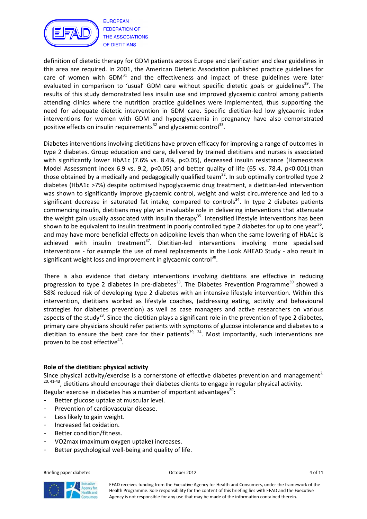

definition of dietetic therapy for GDM patients across Europe and clarification and clear guidelines in this area are required. In 2001, the American Dietetic Association published practice guidelines for care of women with GDM $31$  and the effectiveness and impact of these guidelines were later evaluated in comparison to 'usual' GDM care without specific dietetic goals or guidelines<sup>29</sup>. The results of this study demonstrated less insulin use and improved glycaemic control among patients attending clinics where the nutrition practice guidelines were implemented, thus supporting the need for adequate dietetic intervention in GDM care. Specific dietitian-led low glycaemic index interventions for women with GDM and hyperglycaemia in pregnancy have also demonstrated positive effects on insulin requirements<sup>32</sup> and glycaemic control<sup>33</sup>.

Diabetes interventions involving dietitians have proven efficacy for improving a range of outcomes in type 2 diabetes. Group education and care, delivered by trained dietitians and nurses is associated with significantly lower HbA1c (7.6% vs. 8.4%, p<0.05), decreased insulin resistance (Homeostasis Model Assessment index 6.9 vs. 9.2, p<0.05) and better quality of life (65 vs. 78.4, p<0.001) than those obtained by a medically and pedagogically qualified team<sup>22</sup>. In sub optimally controlled type 2 diabetes (HbA1c >7%) despite optimised hypoglycaemic drug treatment, a dietitian-led intervention was shown to significantly improve glycaemic control, weight and waist circumference and led to a significant decrease in saturated fat intake, compared to controls<sup>34</sup>. In type 2 diabetes patients commencing insulin, dietitians may play an invaluable role in delivering interventions that attenuate the weight gain usually associated with insulin therapy<sup>35</sup>. Intensified lifestyle interventions has been shown to be equivalent to insulin treatment in poorly controlled type 2 diabetes for up to one year<sup>36</sup>, and may have more beneficial effects on adipokine levels than when the same lowering of HbA1c is achieved with insulin treatment $37$ . Dietitian-led interventions involving more specialised interventions - for example the use of meal replacements in the Look AHEAD Study - also result in significant weight loss and improvement in glycaemic control<sup>38</sup>.

There is also evidence that dietary interventions involving dietitians are effective in reducing progression to type 2 diabetes in pre-diabetes<sup>23</sup>. The Diabetes Prevention Programme<sup>39</sup> showed a 58% reduced risk of developing type 2 diabetes with an intensive lifestyle intervention. Within this intervention, dietitians worked as lifestyle coaches, (addressing eating, activity and behavioural strategies for diabetes prevention) as well as case managers and active researchers on various aspects of the study<sup>23</sup>. Since the dietitian plays a significant role in the prevention of type 2 diabetes, primary care physicians should refer patients with symptoms of glucose intolerance and diabetes to a dietitian to ensure the best care for their patients<sup>39, 24</sup>. Most importantly, such interventions are proven to be cost effective<sup>40</sup>.

#### Role of the dietitian: physical activity

Since physical activity/exercise is a cornerstone of effective diabetes prevention and management<sup>2,</sup>  $20, 41-43$ , dietitians should encourage their diabetes clients to engage in regular physical activity.

Regular exercise in diabetes has a number of important advantages<sup>20</sup>:

- Better glucose uptake at muscular level.
- Prevention of cardiovascular disease.
- Less likely to gain weight.
- Increased fat oxidation.
- Better condition/fitness.
- VO2max (maximum oxygen uptake) increases.
- Better psychological well-being and quality of life.

Briefing paper diabetes and the control of the Corollary of the October 2012 and the control of the control of the control of the control of the control of the control of the control of the control of the control of the co

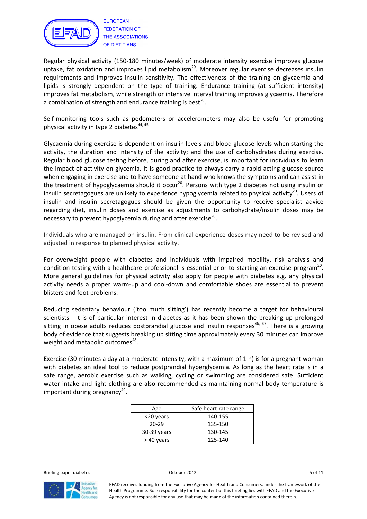

Regular physical activity (150-180 minutes/week) of moderate intensity exercise improves glucose uptake, fat oxidation and improves lipid metabolism<sup>20</sup>. Moreover regular exercise decreases insulin requirements and improves insulin sensitivity. The effectiveness of the training on glycaemia and lipids is strongly dependent on the type of training. Endurance training (at sufficient intensity) improves fat metabolism, while strength or intensive interval training improves glycaemia. Therefore a combination of strength and endurance training is best<sup>20</sup>.

Self-monitoring tools such as pedometers or accelerometers may also be useful for promoting physical activity in type 2 diabetes $44,45$ 

Glycaemia during exercise is dependent on insulin levels and blood glucose levels when starting the activity, the duration and intensity of the activity; and the use of carbohydrates during exercise. Regular blood glucose testing before, during and after exercise, is important for individuals to learn the impact of activity on glycemia. It is good practice to always carry a rapid acting glucose source when engaging in exercise and to have someone at hand who knows the symptoms and can assist in the treatment of hypoglycaemia should it occur<sup>20</sup>. Persons with type 2 diabetes not using insulin or insulin secretagogues are unlikely to experience hypoglycemia related to physical activity<sup>20</sup>. Users of insulin and insulin secretagogues should be given the opportunity to receive specialist advice regarding diet, insulin doses and exercise as adjustments to carbohydrate/insulin doses may be necessary to prevent hypoglycemia during and after exercise<sup>20</sup>.

Individuals who are managed on insulin. From clinical experience doses may need to be revised and adjusted in response to planned physical activity.

For overweight people with diabetes and individuals with impaired mobility, risk analysis and condition testing with a healthcare professional is essential prior to starting an exercise program<sup>20</sup>. More general guidelines for physical activity also apply for people with diabetes e.g. any physical activity needs a proper warm-up and cool-down and comfortable shoes are essential to prevent blisters and foot problems.

Reducing sedentary behaviour ('too much sitting') has recently become a target for behavioural scientists - it is of particular interest in diabetes as it has been shown the breaking up prolonged sitting in obese adults reduces postprandial glucose and insulin responses<sup>46, 47</sup>. There is a growing body of evidence that suggests breaking up sitting time approximately every 30 minutes can improve weight and metabolic outcomes<sup>48</sup>.

Exercise (30 minutes a day at a moderate intensity, with a maximum of 1 h) is for a pregnant woman with diabetes an ideal tool to reduce postprandial hyperglycemia. As long as the heart rate is in a safe range, aerobic exercise such as walking, cycling or swimming are considered safe. Sufficient water intake and light clothing are also recommended as maintaining normal body temperature is important during pregnancy<sup>49</sup>.

| Age           | Safe heart rate range |
|---------------|-----------------------|
| <20 years     | 140-155               |
| $20 - 29$     | 135-150               |
| $30-39$ years | 130-145               |
| >40 years     | 125-140               |

Briefing paper diabetes **Separate Separate Separate Control** Coctober 2012 **5 of 11** 

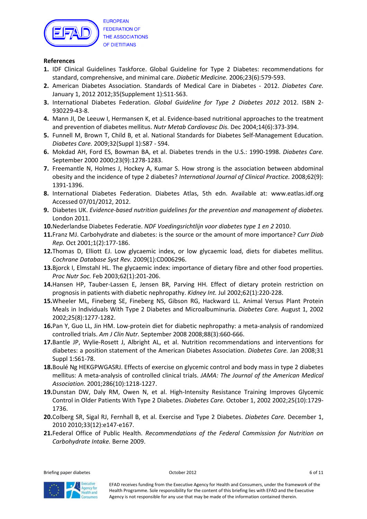

#### References

- 1. IDF Clinical Guidelines Taskforce. Global Guideline for Type 2 Diabetes: recommendations for standard, comprehensive, and minimal care. Diabetic Medicine. 2006;23(6):579-593.
- 2. American Diabetes Association. Standards of Medical Care in Diabetes 2012. Diabetes Care. January 1, 2012 2012;35(Supplement 1):S11-S63.
- 3. International Diabetes Federation. Global Guideline for Type 2 Diabetes 2012 2012. ISBN 2-930229-43-8.
- 4. Mann JI, De Leeuw I, Hermansen K, et al. Evidence-based nutritional approaches to the treatment and prevention of diabetes mellitus. Nutr Metab Cardiovasc Dis. Dec 2004;14(6):373-394.
- 5. Funnell M, Brown T, Child B, et al. National Standards for Diabetes Self-Management Education. Diabetes Care. 2009;32(Suppl 1):S87 - S94.
- 6. Mokdad AH, Ford ES, Bowman BA, et al. Diabetes trends in the U.S.: 1990-1998. Diabetes Care. September 2000 2000;23(9):1278-1283.
- 7. Freemantle N, Holmes J, Hockey A, Kumar S. How strong is the association between abdominal obesity and the incidence of type 2 diabetes? International Journal of Clinical Practice. 2008;62(9): 1391-1396.
- 8. International Diabetes Federation. Diabetes Atlas, 5th edn. Available at: www.eatlas.idf.org Accessed 07/01/2012, 2012.
- 9. Diabetes UK. Evidence-based nutrition guidelines for the prevention and management of diabetes. London 2011.
- 10. Nederlandse Diabetes Federatie. NDF Voedingsrichtlijn voor diabetes type 1 en 2 2010.
- 11. Franz MJ. Carbohydrate and diabetes: is the source or the amount of more importance? Curr Diab Rep. Oct 2001;1(2):177-186.
- 12. Thomas D, Elliott EJ. Low glycaemic index, or low glycaemic load, diets for diabetes mellitus. Cochrane Database Syst Rev. 2009(1):CD006296.
- 13. Bjorck I, Elmstahl HL. The glycaemic index: importance of dietary fibre and other food properties. Proc Nutr Soc. Feb 2003;62(1):201-206.
- 14. Hansen HP, Tauber-Lassen E, Jensen BR, Parving HH. Effect of dietary protein restriction on prognosis in patients with diabetic nephropathy. Kidney Int. Jul 2002;62(1):220-228.
- 15. Wheeler ML, Fineberg SE, Fineberg NS, Gibson RG, Hackward LL. Animal Versus Plant Protein Meals in Individuals With Type 2 Diabetes and Microalbuminuria. Diabetes Care. August 1, 2002 2002;25(8):1277-1282.
- 16. Pan Y, Guo LL, Jin HM. Low-protein diet for diabetic nephropathy: a meta-analysis of randomized controlled trials. Am J Clin Nutr. September 2008 2008;88(3):660-666.
- 17. Bantle JP, Wylie-Rosett J, Albright AL, et al. Nutrition recommendations and interventions for diabetes: a position statement of the American Diabetes Association. Diabetes Care. Jan 2008;31 Suppl 1:S61-78.
- 18. Boulé Ng HEKGPWGASRJ. Effects of exercise on glycemic control and body mass in type 2 diabetes mellitus: A meta-analysis of controlled clinical trials. JAMA: The Journal of the American Medical Association. 2001;286(10):1218-1227.
- 19. Dunstan DW, Daly RM, Owen N, et al. High-Intensity Resistance Training Improves Glycemic Control in Older Patients With Type 2 Diabetes. Diabetes Care. October 1, 2002 2002;25(10):1729- 1736.
- 20. Colberg SR, Sigal RJ, Fernhall B, et al. Exercise and Type 2 Diabetes. Diabetes Care. December 1, 2010 2010;33(12):e147-e167.
- 21. Federal Office of Public Health. Recommendations of the Federal Commission for Nutrition on Carbohydrate Intake. Berne 2009.

Briefing paper diabetes 6 of 11

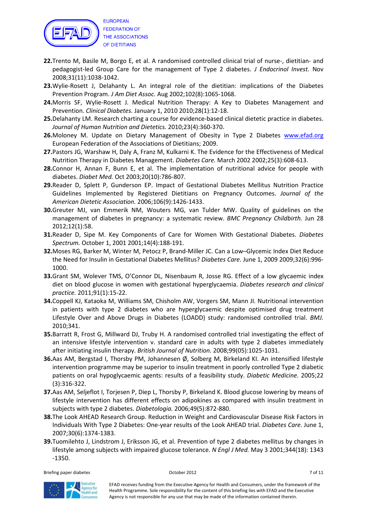

22. Trento M, Basile M, Borgo E, et al. A randomised controlled clinical trial of nurse-, dietitian- and pedagogist-led Group Care for the management of Type 2 diabetes. J Endocrinol Invest. Nov 2008;31(11):1038-1042.

- 23. Wylie-Rosett J, Delahanty L. An integral role of the dietitian: implications of the Diabetes Prevention Program. J Am Diet Assoc. Aug 2002;102(8):1065-1068.
- 24. Morris SF, Wylie-Rosett J. Medical Nutrition Therapy: A Key to Diabetes Management and Prevention. Clinical Diabetes. January 1, 2010 2010;28(1):12-18.
- 25. Delahanty LM. Research charting a course for evidence-based clinical dietetic practice in diabetes. Journal of Human Nutrition and Dietetics. 2010;23(4):360-370.
- 26. Moloney M. Update on Dietary Management of Obesity in Type 2 Diabetes www.efad.org European Federation of the Associations of Dietitians; 2009.
- 27. Pastors JG, Warshaw H, Daly A, Franz M, Kulkarni K. The Evidence for the Effectiveness of Medical Nutrition Therapy in Diabetes Management. Diabetes Care. March 2002 2002;25(3):608-613.
- 28. Connor H, Annan F, Bunn E, et al. The implementation of nutritional advice for people with diabetes. Diabet Med. Oct 2003;20(10):786-807.
- 29. Reader D, Splett P, Gunderson EP. Impact of Gestational Diabetes Mellitus Nutrition Practice Guidelines Implemented by Registered Dietitians on Pregnancy Outcomes. Journal of the American Dietetic Association. 2006;106(9):1426-1433.
- 30. Greuter MJ, van Emmerik NM, Wouters MG, van Tulder MW. Quality of guidelines on the management of diabetes in pregnancy: a systematic review. BMC Pregnancy Childbirth. Jun 28 2012;12(1):58.
- **31. Reader D, Sipe M. Key Components of Care for Women With Gestational Diabetes. Diabetes** Spectrum. October 1, 2001 2001;14(4):188-191.
- 32. Moses RG, Barker M, Winter M, Petocz P, Brand-Miller JC. Can a Low–Glycemic Index Diet Reduce the Need for Insulin in Gestational Diabetes Mellitus? Diabetes Care. June 1, 2009 2009;32(6):996-1000.
- 33. Grant SM, Wolever TMS, O'Connor DL, Nisenbaum R, Josse RG. Effect of a low glycaemic index diet on blood glucose in women with gestational hyperglycaemia. Diabetes research and clinical practice. 2011;91(1):15-22.
- 34. Coppell KJ, Kataoka M, Williams SM, Chisholm AW, Vorgers SM, Mann JI. Nutritional intervention in patients with type 2 diabetes who are hyperglycaemic despite optimised drug treatment Lifestyle Over and Above Drugs in Diabetes (LOADD) study: randomised controlled trial. BMJ. 2010;341.
- 35. Barratt R, Frost G, Millward DJ, Truby H. A randomised controlled trial investigating the effect of an intensive lifestyle intervention v. standard care in adults with type 2 diabetes immediately after initiating insulin therapy. British Journal of Nutrition. 2008;99(05):1025-1031.
- 36. Aas AM, Bergstad I, Thorsby PM, Johannesen Ø, Solberg M, Birkeland KI. An intensified lifestyle intervention programme may be superior to insulin treatment in poorly controlled Type 2 diabetic patients on oral hypoglycaemic agents: results of a feasibility study. Diabetic Medicine. 2005;22 (3):316-322.
- 37. Aas AM, Seljeflot I, Torjesen P, Diep L, Thorsby P, Birkeland K. Blood glucose lowering by means of lifestyle intervention has different effects on adipokines as compared with insulin treatment in subjects with type 2 diabetes. Diabetologia. 2006;49(5):872-880.
- 38. The Look AHEAD Research Group. Reduction in Weight and Cardiovascular Disease Risk Factors in Individuals With Type 2 Diabetes: One-year results of the Look AHEAD trial. Diabetes Care. June 1, 2007;30(6):1374-1383.
- 39. Tuomilehto J, Lindstrom J, Eriksson JG, et al. Prevention of type 2 diabetes mellitus by changes in lifestyle among subjects with impaired glucose tolerance. N Engl J Med. May 3 2001;344(18): 1343 -1350.

Briefing paper diabetes and the control of the October 2012 Control of the Control of the Control of the Control of the Control of the Control of the Control of the Control of the Control of the Control of the Control of t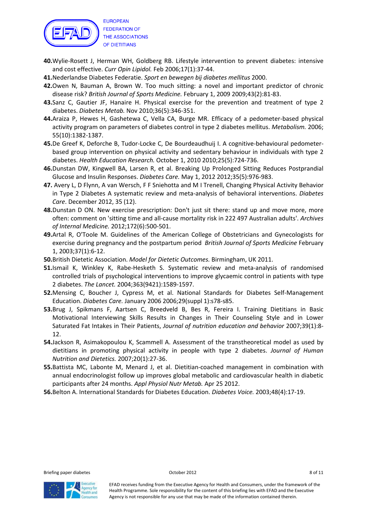

- 40. Wylie-Rosett J, Herman WH, Goldberg RB. Lifestyle intervention to prevent diabetes: intensive and cost effective. Curr Opin Lipidol. Feb 2006;17(1):37-44.
- 41. Nederlandse Diabetes Federatie. Sport en bewegen bij diabetes mellitus 2000.
- 42. Owen N, Bauman A, Brown W. Too much sitting: a novel and important predictor of chronic disease risk? British Journal of Sports Medicine. February 1, 2009 2009;43(2):81-83.
- 43. Sanz C, Gautier JF, Hanaire H. Physical exercise for the prevention and treatment of type 2 diabetes. Diabetes Metab. Nov 2010;36(5):346-351.
- 44. Araiza P, Hewes H, Gashetewa C, Vella CA, Burge MR. Efficacy of a pedometer-based physical activity program on parameters of diabetes control in type 2 diabetes mellitus. Metabolism. 2006; 55(10):1382-1387.
- 45. De Greef K, Deforche B, Tudor-Locke C, De Bourdeaudhuij I. A cognitive-behavioural pedometerbased group intervention on physical activity and sedentary behaviour in individuals with type 2 diabetes. Health Education Research. October 1, 2010 2010;25(5):724-736.
- 46. Dunstan DW, Kingwell BA, Larsen R, et al. Breaking Up Prolonged Sitting Reduces Postprandial Glucose and Insulin Responses. Diabetes Care. May 1, 2012 2012;35(5):976-983.
- 47. Avery L, D Flynn, A van Wersch, F F Sniehotta and M I Trenell, Changing Physical Activity Behavior in Type 2 Diabetes A systematic review and meta-analysis of behavioral interventions. Diabetes Care. December 2012, 35 (12).
- 48. Dunstan D ON. New exercise prescription: Don't just sit there: stand up and move more, more often: comment on 'sitting time and all-cause mortality risk in 222 497 Australian adults'. Archives of Internal Medicine. 2012;172(6):500-501.
- 49. Artal R, O'Toole M. Guidelines of the American College of Obstetricians and Gynecologists for exercise during pregnancy and the postpartum period British Journal of Sports Medicine February 1, 2003;37(1):6-12.
- 50. British Dietetic Association. Model for Dietetic Outcomes. Birmingham, UK 2011.
- 51. Ismail K, Winkley K, Rabe-Hesketh S. Systematic review and meta-analysis of randomised controlled trials of psychological interventions to improve glycaemic control in patients with type 2 diabetes. The Lancet. 2004;363(9421):1589-1597.
- 52. Mensing C, Boucher J, Cypress M, et al. National Standards for Diabetes Self-Management Education. Diabetes Care. January 2006 2006;29(suppl 1):s78-s85.
- 53. Brug J, Spikmans F, Aartsen C, Breedveld B, Bes R, Fereira I. Training Dietitians in Basic Motivational Interviewing Skills Results in Changes in Their Counseling Style and in Lower Saturated Fat Intakes in Their Patients, Journal of nutrition education and behavior 2007;39(1):8- 12.
- 54. Jackson R, Asimakopoulou K, Scammell A. Assessment of the transtheoretical model as used by dietitians in promoting physical activity in people with type 2 diabetes. Journal of Human Nutrition and Dietetics. 2007;20(1):27-36.
- 55. Battista MC, Labonte M, Menard J, et al. Dietitian-coached management in combination with annual endocrinologist follow up improves global metabolic and cardiovascular health in diabetic participants after 24 months. Appl Physiol Nutr Metab. Apr 25 2012.
- 56. Belton A. International Standards for Diabetes Education. Diabetes Voice. 2003;48(4):17-19.



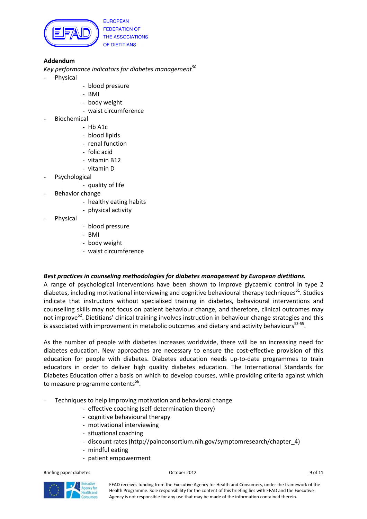

## Addendum

Key performance indicators for diabetes management<sup>50</sup>

- Physical
- blood pressure
- BMI
- body weight
- waist circumference
- **Biochemical** 
	- Hb A1c
	- blood lipids
	- renal function
	- folic acid
	- vitamin B12
	- vitamin D
- Psychological
	- quality of life
- Behavior change
	- healthy eating habits
	- physical activity
- Physical
- blood pressure
- BMI
- body weight
- waist circumference

### Best practices in counseling methodologies for diabetes management by European dietitians.

A range of psychological interventions have been shown to improve glycaemic control in type 2 diabetes, including motivational interviewing and cognitive behavioural therapy techniques<sup>51</sup>. Studies indicate that instructors without specialised training in diabetes, behavioural interventions and counselling skills may not focus on patient behaviour change, and therefore, clinical outcomes may not improve<sup>52</sup>. Dietitians' clinical training involves instruction in behaviour change strategies and this is associated with improvement in metabolic outcomes and dietary and activity behaviours<sup>53-55</sup>.

As the number of people with diabetes increases worldwide, there will be an increasing need for diabetes education. New approaches are necessary to ensure the cost-effective provision of this education for people with diabetes. Diabetes education needs up-to-date programmes to train educators in order to deliver high quality diabetes education. The International Standards for Diabetes Education offer a basis on which to develop courses, while providing criteria against which to measure programme contents<sup>56</sup>.

- Techniques to help improving motivation and behavioral change
	- effective coaching (self-determination theory)
	- cognitive behavioural therapy
	- motivational interviewing
	- situational coaching
	- discount rates (http://painconsortium.nih.gov/symptomresearch/chapter\_4)
	- mindful eating
	- patient empowerment

Briefing paper diabetes **Department Contact Contact Contact Contact Contact Contact Contact Contact Contact Contact Contact Contact Contact Contact Contact Contact Contact Contact Contact Contact Contact Contact Contact Co**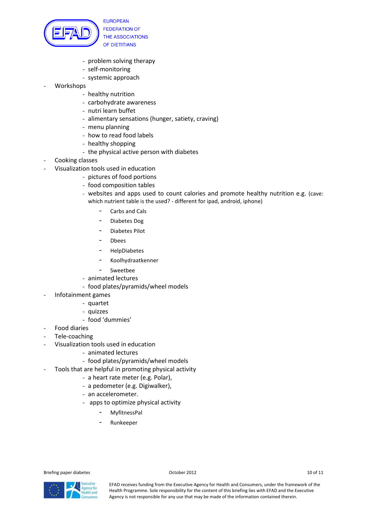

- problem solving therapy
- self-monitoring
- systemic approach
- Workshops
	- healthy nutrition
	- carbohydrate awareness
	- nutri learn buffet
	- alimentary sensations (hunger, satiety, craving)
	- menu planning
	- how to read food labels
	- healthy shopping
	- the physical active person with diabetes
- Cooking classes
	- Visualization tools used in education
		- pictures of food portions
		- food composition tables
		- websites and apps used to count calories and promote healthy nutrition e.g. (cave: which nutrient table is the used? - different for ipad, android, iphone)
			- Carbs and Cals
			- Diabetes Dog
			- Diabetes Pilot
			- Dbees
			- HelpDiabetes
			- Koolhydraatkenner
			- **Sweetbee**
		- animated lectures
		- food plates/pyramids/wheel models
- Infotainment games
	- quartet
	- quizzes
	- food 'dummies'
- Food diaries
- Tele-coaching
- Visualization tools used in education
	- animated lectures
	- food plates/pyramids/wheel models
- Tools that are helpful in promoting physical activity
	- a heart rate meter (e.g. Polar),
	- a pedometer (e.g. Digiwalker),
	- an accelerometer.
	- apps to optimize physical activity
		- MyfitnessPal
		- Runkeeper

Briefing paper diabetes and the control of 11 of 11 of 11 of 11 of 11 of 11 of 11 of 11